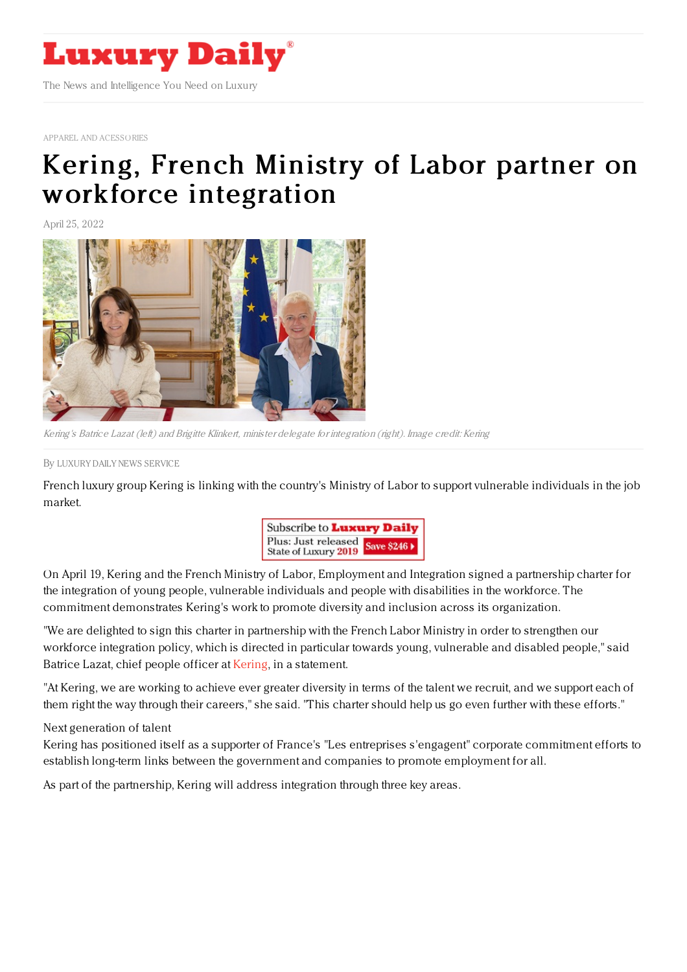

APPAREL AND [ACESSORIES](https://www.luxurydaily.com/category/sectors/apparel-and-accessories/)

## Kering, French Ministry of Labor partner on workforce [integration](https://www.luxurydaily.com/kering-french-ministry-of-labor-partner-on-workforce-integration/)

April 25, 2022



Kering's Batrice Lazat (left) and Brigitte Klinkert, minister delegate for integration (right). Image credit: Kering

By LUXURY DAILY NEWS [SERVICE](file:///author/luxury-daily-news-service)

French luxury group Kering is linking with the country's Ministry of Labor to support vulnerable individuals in the job market.



On April 19, Kering and the French Ministry of Labor, Employment and Integration signed a partnership charter for the integration of young people, vulnerable individuals and people with disabilities in the workforce. The commitment demonstrates Kering's work to promote diversity and inclusion across its organization.

"We are delighted to sign this charter in partnership with the French Labor Ministry in order to strengthen our workforce integration policy, which is directed in particular towards young, vulnerable and disabled people," said Batrice Lazat, chief people officer at [Kering,](https://www.kering.com/) in a statement.

"At Kering, we are working to achieve ever greater diversity in terms of the talent we recruit, and we support each of them right the way through their careers," she said. "This charter should help us go even further with these efforts."

## Next generation of talent

Kering has positioned itself as a supporter of France's "Les entreprises s'engagent" corporate commitment efforts to establish long-term links between the government and companies to promote employment for all.

As part of the partnership, Kering will address integration through three key areas.